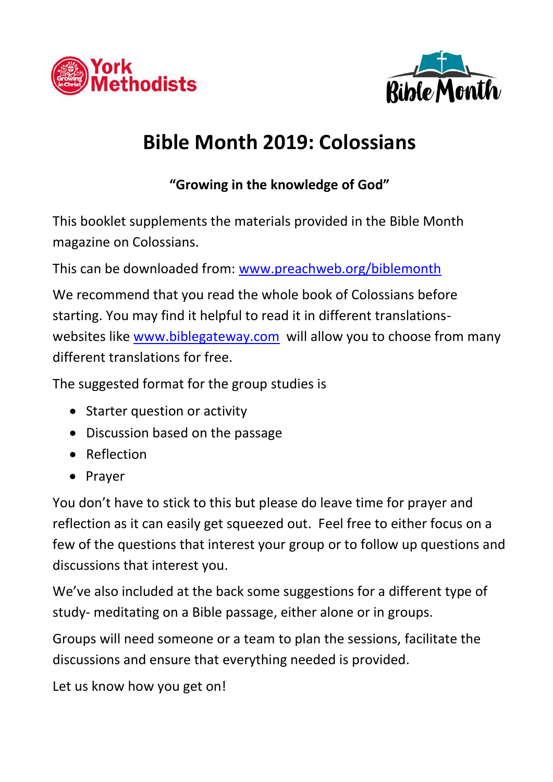



# **Bible Month 2019: Colossians**

**"Growing in the knowledge of God"**

This booklet supplements the materials provided in the Bible Month magazine on Colossians.

This can be downloaded from: [www.preachweb.org/biblemonth](http://www.preachweb.org/biblemonth)

We recommend that you read the whole book of Colossians before starting. You may find it helpful to read it in different translationswebsites like [www.biblegateway.com](http://www.biblegateway.com/) will allow you to choose from many different translations for free.

The suggested format for the group studies is

- Starter question or activity
- Discussion based on the passage
- Reflection
- Prayer

You don't have to stick to this but please do leave time for prayer and reflection as it can easily get squeezed out. Feel free to either focus on a few of the questions that interest your group or to follow up questions and discussions that interest you.

We've also included at the back some suggestions for a different type of study- meditating on a Bible passage, either alone or in groups.

Groups will need someone or a team to plan the sessions, facilitate the discussions and ensure that everything needed is provided.

Let us know how you get on!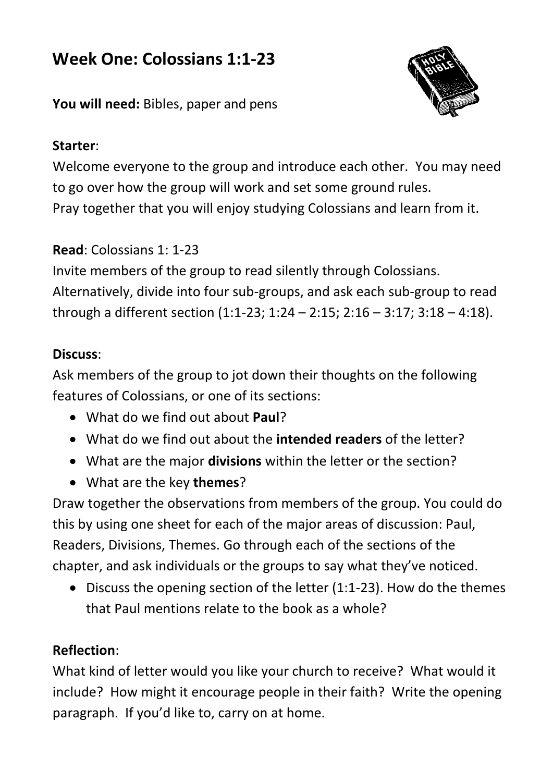# **Week One: Colossians 1:1-23**



**You will need:** Bibles, paper and pens

### **Starter**:

Welcome everyone to the group and introduce each other. You may need to go over how the group will work and set some ground rules. Pray together that you will enjoy studying Colossians and learn from it.

### **Read**: Colossians 1: 1-23

Invite members of the group to read silently through Colossians. Alternatively, divide into four sub-groups, and ask each sub-group to read through a different section (1:1-23; 1:24 – 2:15; 2:16 – 3:17; 3:18 – 4:18).

#### **Discuss**:

Ask members of the group to jot down their thoughts on the following features of Colossians, or one of its sections:

- What do we find out about **Paul**?
- What do we find out about the **intended readers** of the letter?
- What are the major **divisions** within the letter or the section?
- What are the key **themes**?

Draw together the observations from members of the group. You could do this by using one sheet for each of the major areas of discussion: Paul, Readers, Divisions, Themes. Go through each of the sections of the chapter, and ask individuals or the groups to say what they've noticed.

 Discuss the opening section of the letter (1:1-23). How do the themes that Paul mentions relate to the book as a whole?

### **Reflection**:

What kind of letter would you like your church to receive? What would it include? How might it encourage people in their faith? Write the opening paragraph. If you'd like to, carry on at home.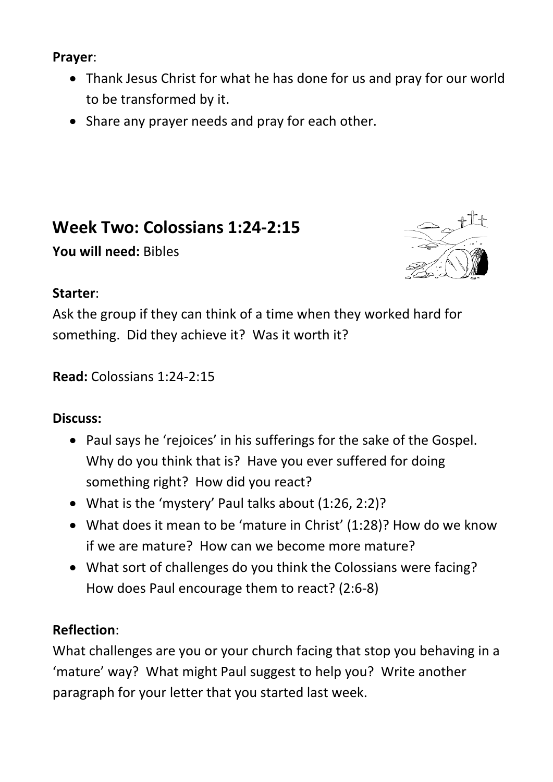### **Prayer**:

- Thank Jesus Christ for what he has done for us and pray for our world to be transformed by it.
- Share any prayer needs and pray for each other.

# **Week Two: Colossians 1:24-2:15**

**You will need:** Bibles



#### **Starter**:

Ask the group if they can think of a time when they worked hard for something. Did they achieve it? Was it worth it?

### **Read:** Colossians 1:24-2:15

### **Discuss:**

- Paul says he 'rejoices' in his sufferings for the sake of the Gospel. Why do you think that is? Have you ever suffered for doing something right? How did you react?
- What is the 'mystery' Paul talks about (1:26, 2:2)?
- What does it mean to be 'mature in Christ' (1:28)? How do we know if we are mature? How can we become more mature?
- What sort of challenges do you think the Colossians were facing? How does Paul encourage them to react? (2:6-8)

### **Reflection**:

What challenges are you or your church facing that stop you behaving in a 'mature' way? What might Paul suggest to help you? Write another paragraph for your letter that you started last week.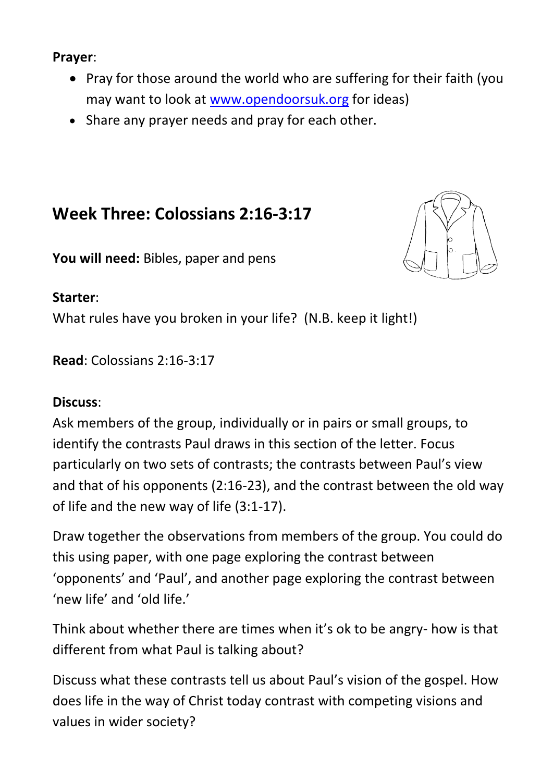#### **Prayer**:

- Pray for those around the world who are suffering for their faith (you may want to look at [www.opendoorsuk.org](http://www.opendoorsuk.org/) for ideas)
- Share any prayer needs and pray for each other.

# **Week Three: Colossians 2:16-3:17**

**You will need:** Bibles, paper and pens

#### **Starter**:

What rules have you broken in your life? (N.B. keep it light!)

**Read**: Colossians 2:16-3:17

#### **Discuss**:

Ask members of the group, individually or in pairs or small groups, to identify the contrasts Paul draws in this section of the letter. Focus particularly on two sets of contrasts; the contrasts between Paul's view and that of his opponents (2:16-23), and the contrast between the old way of life and the new way of life (3:1-17).

Draw together the observations from members of the group. You could do this using paper, with one page exploring the contrast between 'opponents' and 'Paul', and another page exploring the contrast between 'new life' and 'old life.'

Think about whether there are times when it's ok to be angry- how is that different from what Paul is talking about?

Discuss what these contrasts tell us about Paul's vision of the gospel. How does life in the way of Christ today contrast with competing visions and values in wider society?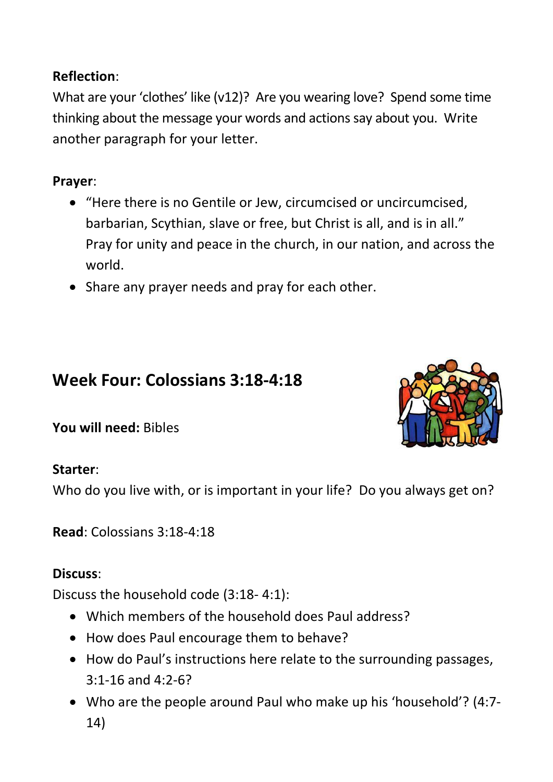# **Reflection**:

What are your 'clothes' like (v12)? Are you wearing love? Spend some time thinking about the message your words and actions say about you. Write another paragraph for your letter.

# **Prayer**:

- "Here there is no Gentile or Jew, circumcised or uncircumcised, barbarian, Scythian, slave or free, but Christ is all, and is in all." Pray for unity and peace in the church, in our nation, and across the world.
- Share any prayer needs and pray for each other.

# **Week Four: Colossians 3:18-4:18**

**You will need:** Bibles

### **Starter**:

Who do you live with, or is important in your life? Do you always get on?

**Read**: Colossians 3:18-4:18

## **Discuss**:

Discuss the household code (3:18- 4:1):

- Which members of the household does Paul address?
- How does Paul encourage them to behave?
- How do Paul's instructions here relate to the surrounding passages, 3:1-16 and 4:2-6?
- Who are the people around Paul who make up his 'household'? (4:7- 14)

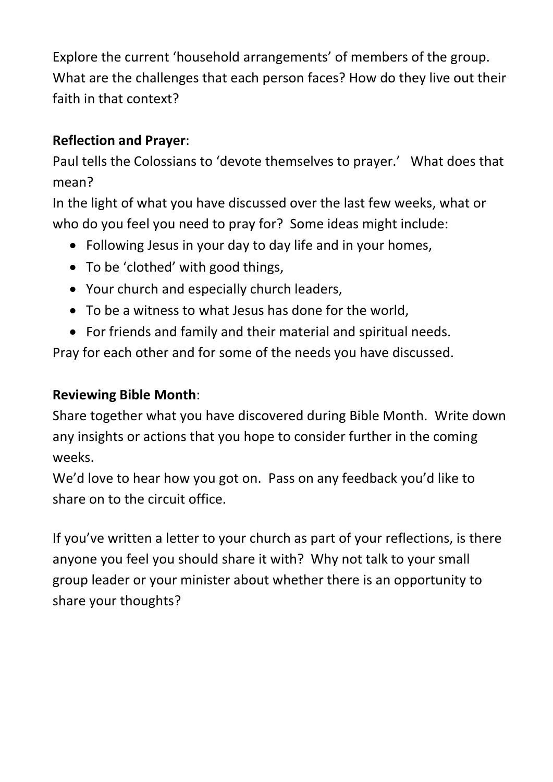Explore the current 'household arrangements' of members of the group. What are the challenges that each person faces? How do they live out their faith in that context?

### **Reflection and Prayer**:

Paul tells the Colossians to 'devote themselves to prayer.' What does that mean?

In the light of what you have discussed over the last few weeks, what or who do you feel you need to pray for? Some ideas might include:

- Following Jesus in your day to day life and in your homes,
- To be 'clothed' with good things,
- Your church and especially church leaders,
- To be a witness to what Jesus has done for the world,
- For friends and family and their material and spiritual needs.

Pray for each other and for some of the needs you have discussed.

### **Reviewing Bible Month**:

Share together what you have discovered during Bible Month. Write down any insights or actions that you hope to consider further in the coming weeks.

We'd love to hear how you got on. Pass on any feedback you'd like to share on to the circuit office.

If you've written a letter to your church as part of your reflections, is there anyone you feel you should share it with? Why not talk to your small group leader or your minister about whether there is an opportunity to share your thoughts?